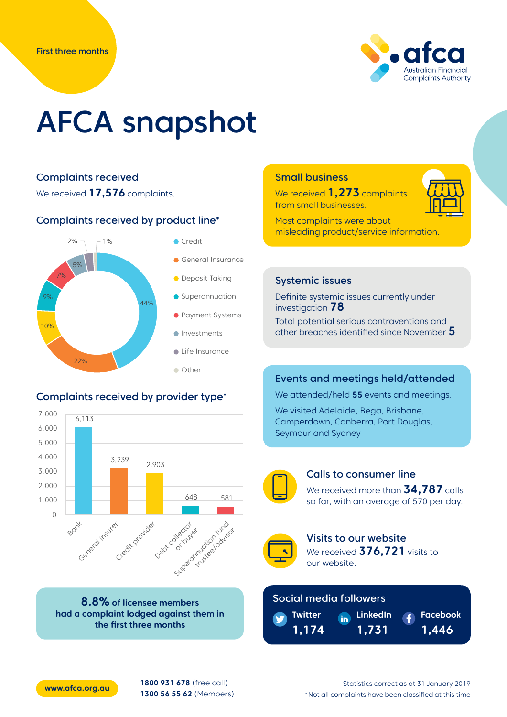

# AFCA snapshot

# Complaints received



#### Complaints received by product line\*



# Complaints received by provider type\*



**8.8% of licensee members had a complaint lodged against them in the first three months**

### Small business

We received **1,273** complaints from small businesses.

Most complaints were about misleading product/service information.

#### Systemic issues

Definite systemic issues currently under investigation **78**

Total potential serious contraventions and other breaches identified since November **5**

#### Events and meetings held/attended

We attended/held **55** events and meetings.

We visited Adelaide, Bega, Brisbane, Camperdown, Canberra, Port Douglas, Seymour and Sydney



#### Calls to consumer line

We received more than **34,787** calls so far, with an average of 570 per day.



Visits to our website We received **376,721** visits to our website.

> **LinkedIn 1,731**

#### Social media followers



**Facebook 1,446**



**[www.afca.org.au](http://www.afca.org.au) 1800 931 678** (free call) **1300 56 55 62** (Members)